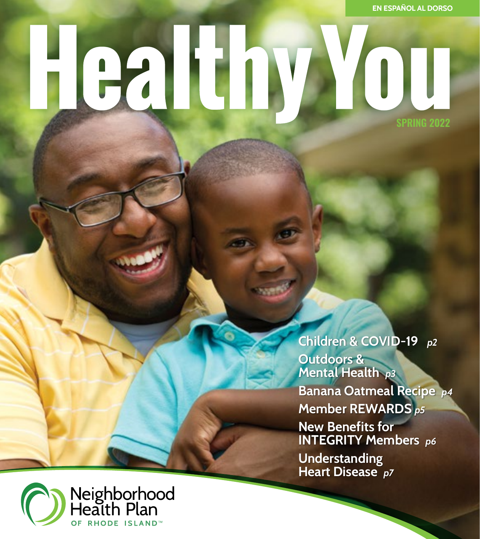# **Lealth** VOU

**SPRING 2022**

**Children & COVID-19** *p2*  **Outdoors & Mental Health** *p3*  **Banana Oatmeal Recipe** *p4* **Member REWARDS** *p5*  **New Benefits for INTEGRITY Members** *p6* **Understanding Heart Disease** *p7* 

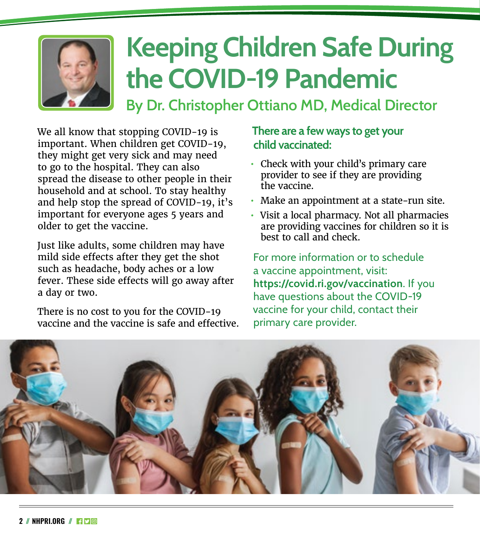

### **Keeping Children Safe During the COVID-19 Pandemic**

**By Dr. Christopher Ottiano MD, Medical Director**

We all know that stopping COVID-19 is important. When children get COVID-19, they might get very sick and may need to go to the hospital. They can also spread the disease to other people in their household and at school. To stay healthy and help stop the spread of COVID-19, it's important for everyone ages 5 years and older to get the vaccine.

Just like adults, some children may have mild side effects after they get the shot such as headache, body aches or a low fever. These side effects will go away after a day or two.

There is no cost to you for the COVID-19 vaccine and the vaccine is safe and effective.

#### **There are a few ways to get your child vaccinated:**

- **•** Check with your child's primary care provider to see if they are providing the vaccine.
- **•** Make an appointment at a state-run site.
- **•** Visit a local pharmacy. Not all pharmacies are providing vaccines for children so it is best to call and check.

For more information or to schedule a vaccine appointment, visit: **<https://covid.ri.gov/vaccination>**. If you have questions about the COVID-19 vaccine for your child, contact their primary care provider.

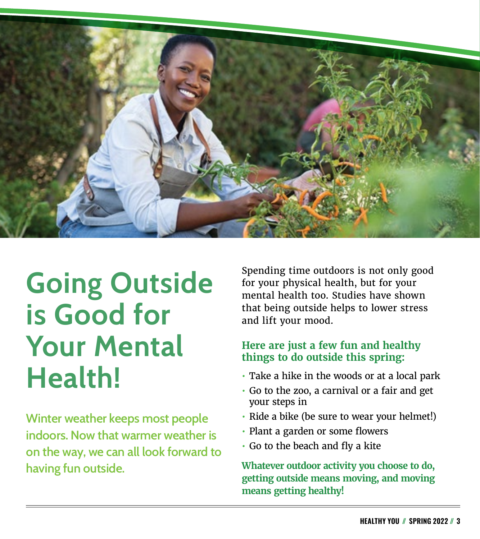

### **Going Outside is Good for Your Mental Health!**

**Winter weather keeps most people indoors. Now that warmer weather is on the way, we can all look forward to having fun outside.**

Spending time outdoors is not only good for your physical health, but for your mental health too. Studies have shown that being outside helps to lower stress and lift your mood.

#### **Here are just a few fun and healthy things to do outside this spring:**

- **•** Take a hike in the woods or at a local park
- **•** Go to the zoo, a carnival or a fair and get your steps in
- **•** Ride a bike (be sure to wear your helmet!)
- **•** Plant a garden or some flowers
- **•** Go to the beach and fly a kite

**Whatever outdoor activity you choose to do, getting outside means moving, and moving means getting healthy!**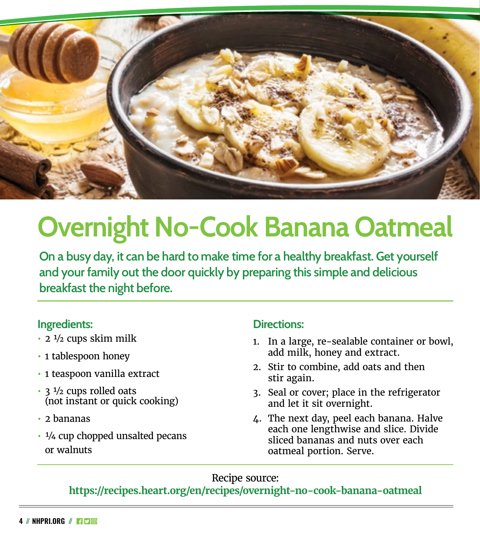

### **Overnight No-Cook Banana Oatmeal**

**On a busy day, it can be hard to make time for a healthy breakfast. Get yourself and your family out the door quickly by preparing this simple and delicious breakfast the night before.**

#### **Ingredients:**

- **•** 2 ½ cups skim milk
- **•** 1 tablespoon honey
- **•** 1 teaspoon vanilla extract
- **•** 3 ½ cups rolled oats (not instant or quick cooking)
- **•** 2 bananas
- **•** ¼ cup chopped unsalted pecans or walnuts

#### **Directions:**

- 1. In a large, re-sealable container or bowl, add milk, honey and extract.
- 2. Stir to combine, add oats and then stir again.
- 3. Seal or cover; place in the refrigerator and let it sit overnight.
- 4. The next day, peel each banana. Halve each one lengthwise and slice. Divide sliced bananas and nuts over each oatmeal portion. Serve.

#### Recipe source:

#### **<https://recipes.heart.org/en/recipes/overnight-no-cook-banana-oatmeal>**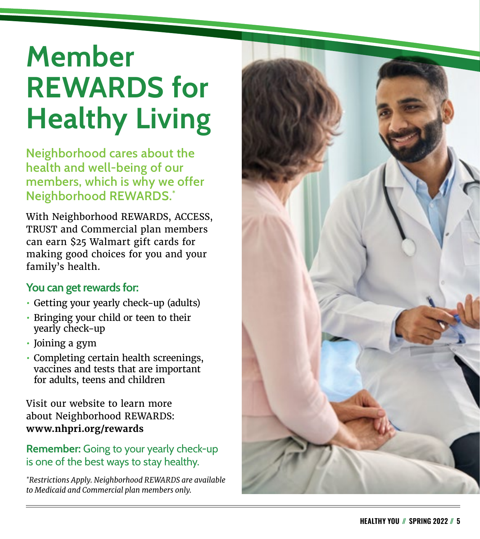### **Member REWARDS for Healthy Living**

**Neighborhood cares about the health and well-being of our members, which is why we offer Neighborhood REWARDS. \***

With Neighborhood REWARDS, ACCESS, TRUST and Commercial plan members can earn \$25 Walmart gift cards for making good choices for you and your family's health.

#### **You can get rewards for:**

- **•** Getting your yearly check-up (adults)
- **•** Bringing your child or teen to their yearly check-up
- **•** Joining a gym
- **•** Completing certain health screenings, vaccines and tests that are important for adults, teens and children

Visit our website to learn more about Neighborhood REWARDS: **[www.nhpri.org/rewards](http://www.nhpri.org/rewards)**

#### **Remember:** Going to your yearly check-up is one of the best ways to stay healthy.

*\*Restrictions Apply. Neighborhood REWARDS are available to Medicaid and Commercial plan members only.*

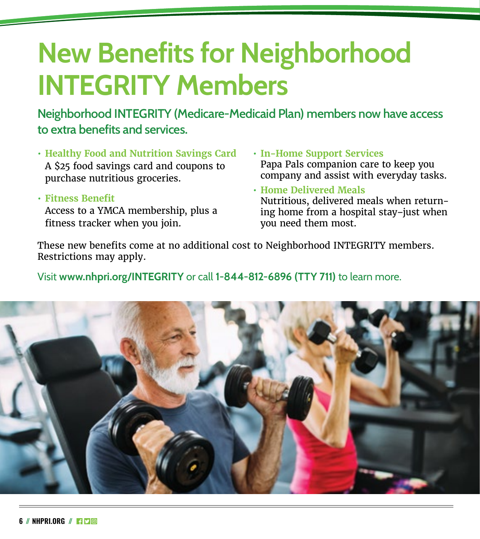### **New Benefits for Neighborhood INTEGRITY Members**

**Neighborhood INTEGRITY (Medicare-Medicaid Plan) members now have access to extra benefits and services.**

**• Healthy Food and Nutrition Savings Card** A \$25 food savings card and coupons to purchase nutritious groceries.

**• Fitness Benefit** Access to a YMCA membership, plus a fitness tracker when you join.

- **• In-Home Support Services**  Papa Pals companion care to keep you company and assist with everyday tasks.
- **• Home Delivered Meals**  Nutritious, delivered meals when return ing home from a hospital stay–just when you need them most.

These new benefits come at no additional cost to Neighborhood INTEGRITY members. Restrictions may apply.

Visit **[www.nhpri.org/INTEGRITY](http://www.nhpri.org/INTEGRITY)** or call **1-844-812-6896 (TTY 711)** to learn more.

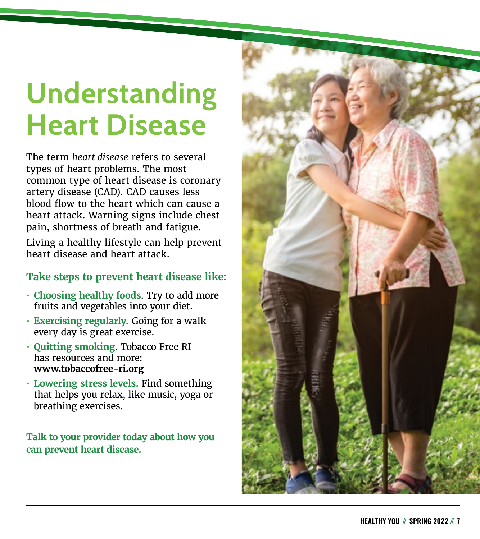### **Understanding Heart Disease**

The term *heart disease* refers to several types of heart problems. The most common type of heart disease is coronary artery disease (CAD). CAD causes less blood flow to the heart which can cause a heart attack. Warning signs include chest pain, shortness of breath and fatigue.

Living a healthy lifestyle can help prevent heart disease and heart attack.

#### **Take steps to prevent heart disease like:**

- **• Choosing healthy foods**. Try to add more fruits and vegetables into your diet.
- **• Exercising regularly.** Going for a walk every day is great exercise.
- **• Quitting smoking**. Tobacco Free RI has resources and more: **[www.tobaccofree-ri.org](http://www.tobaccofree-ri.org)**
- **• Lowering stress levels.** Find something that helps you relax, like music, yoga or breathing exercises.

**Talk to your provider today about how you can prevent heart disease.**